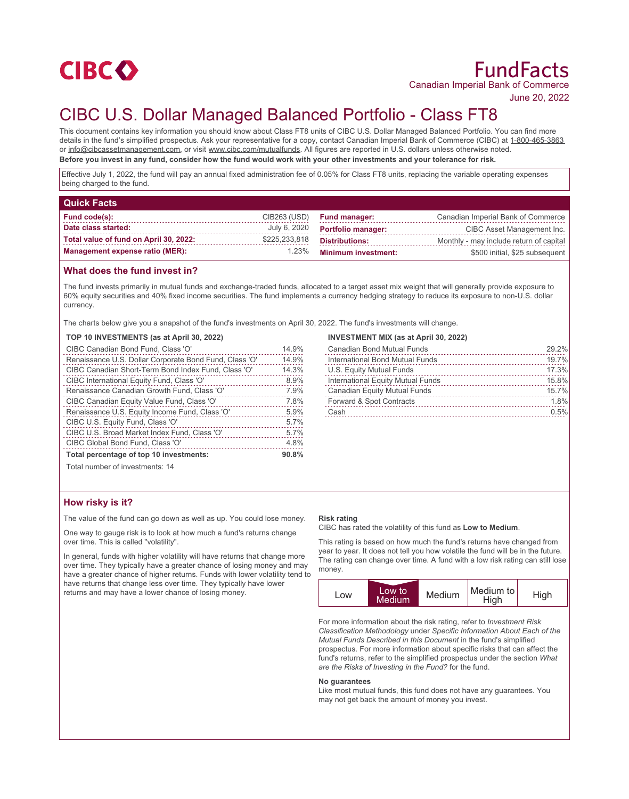

# FundFacts Canadian Imperial Bank of Commerce

June 20, 2022

# CIBC U.S. Dollar Managed Balanced Portfolio - Class FT8

This document contains key information you should know about Class FT8 units of CIBC U.S. Dollar Managed Balanced Portfolio. You can find more details in the fund's simplified prospectus. Ask your representative for a copy, contact Canadian Imperial Bank of Commerce (CIBC) at 1-800-465-3863 or info@cibcassetmanagement.com, or visit www.cibc.com/mutualfunds. All figures are reported in U.S. dollars unless otherwise noted. **Before you invest in any fund, consider how the fund would work with your other investments and your tolerance for risk.**

Effective July 1, 2022, the fund will pay an annual fixed administration fee of 0.05% for Class FT8 units, replacing the variable operating expenses being charged to the fund.

| <b>Quick Facts</b>                     |               |                            |                                         |
|----------------------------------------|---------------|----------------------------|-----------------------------------------|
| Fund code(s):                          | CIB263 (USD)  | <b>Fund manager:</b>       | Canadian Imperial Bank of Commerce      |
| Date class started:                    | July 6, 2020  | <b>Portfolio manager:</b>  | CIBC Asset Management Inc.              |
| Total value of fund on April 30, 2022: | \$225,233,818 | <b>Distributions:</b>      | Monthly - may include return of capital |
| <b>Management expense ratio (MER):</b> | 1.23%         | <b>Minimum investment:</b> | \$500 initial, \$25 subsequent          |

## **What does the fund invest in?**

The fund invests primarily in mutual funds and exchange-traded funds, allocated to a target asset mix weight that will generally provide exposure to 60% equity securities and 40% fixed income securities. The fund implements a currency hedging strategy to reduce its exposure to non-U.S. dollar currency.

The charts below give you a snapshot of the fund's investments on April 30, 2022. The fund's investments will change.

#### **TOP 10 INVESTMENTS (as at April 30, 2022)**

| CIBC Canadian Bond Fund, Class 'O'                     | 14.9% |
|--------------------------------------------------------|-------|
| Renaissance U.S. Dollar Corporate Bond Fund, Class 'O' | 14.9% |
| CIBC Canadian Short-Term Bond Index Fund, Class 'O'    | 14.3% |
| CIBC International Equity Fund, Class 'O'              | 8.9%  |
| Renaissance Canadian Growth Fund, Class 'O'            | 7.9%  |
| CIBC Canadian Equity Value Fund, Class 'O'             | 7.8%  |
| Renaissance U.S. Equity Income Fund, Class 'O'         | 5.9%  |
| CIBC U.S. Equity Fund, Class 'O'                       | 5.7%  |
| CIBC U.S. Broad Market Index Fund, Class 'O'           | 5.7%  |
| CIBC Global Bond Fund, Class 'O'                       | 4.8%  |
| Total percentage of top 10 investments:                | 90.8% |

### **INVESTMENT MIX (as at April 30, 2022)**

| Canadian Bond Mutual Funds        | 29.2% |
|-----------------------------------|-------|
| International Bond Mutual Funds   | 19.7% |
| U.S. Equity Mutual Funds          | 17.3% |
| International Equity Mutual Funds | 15.8% |
| Canadian Equity Mutual Funds      | 15.7% |
| Forward & Spot Contracts          | 1.8%  |
| Cash                              | 0.5%  |
|                                   |       |

Total number of investments: 14

# **How risky is it?**

The value of the fund can go down as well as up. You could lose money.

One way to gauge risk is to look at how much a fund's returns change over time. This is called "volatility".

In general, funds with higher volatility will have returns that change more over time. They typically have a greater chance of losing money and may have a greater chance of higher returns. Funds with lower volatility tend to have returns that change less over time. They typically have lower returns and may have a lower chance of losing money.

#### **Risk rating**

CIBC has rated the volatility of this fund as **Low to Medium**.

This rating is based on how much the fund's returns have changed from year to year. It does not tell you how volatile the fund will be in the future. The rating can change over time. A fund with a low risk rating can still lose money.



For more information about the risk rating, refer to *Investment Risk Classification Methodology* under *Specific Information About Each of the Mutual Funds Described in this Document* in the fund's simplified prospectus. For more information about specific risks that can affect the fund's returns, refer to the simplified prospectus under the section *What are the Risks of Investing in the Fund?* for the fund.

#### **No guarantees**

Like most mutual funds, this fund does not have any guarantees. You may not get back the amount of money you invest.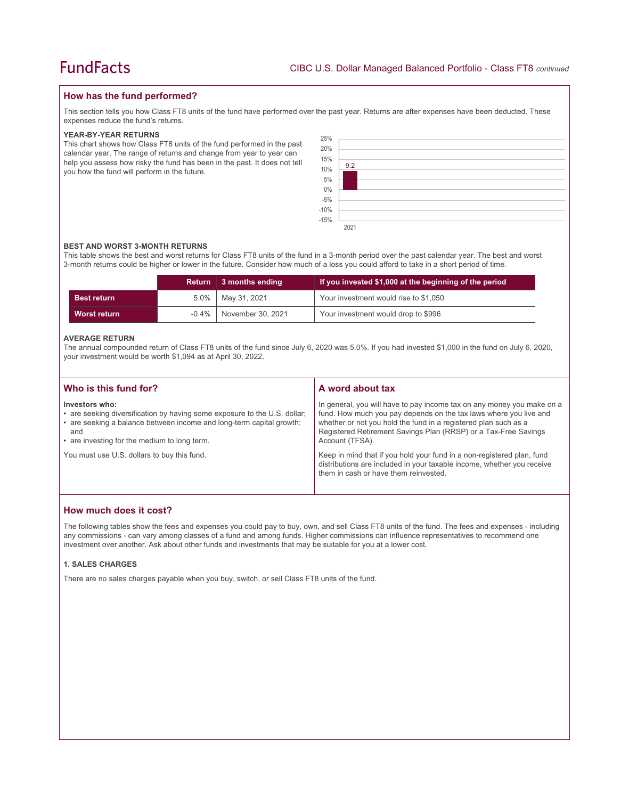# **How has the fund performed?**

This section tells you how Class FT8 units of the fund have performed over the past year. Returns are after expenses have been deducted. These expenses reduce the fund's returns.

#### **YEAR-BY-YEAR RETURNS**

This chart shows how Class FT8 units of the fund performed in the past calendar year. The range of returns and change from year to year can help you assess how risky the fund has been in the past. It does not tell you how the fund will perform in the future.

| 25%                          |      |
|------------------------------|------|
| 20%                          |      |
|                              |      |
|                              | 9.2  |
| 15%<br>10%<br>5%             |      |
| $0\%$<br>-5%<br>-10%<br>-15% |      |
|                              |      |
|                              |      |
|                              |      |
|                              | 2021 |

#### **BEST AND WORST 3-MONTH RETURNS**

This table shows the best and worst returns for Class FT8 units of the fund in a 3-month period over the past calendar year. The best and worst 3-month returns could be higher or lower in the future. Consider how much of a loss you could afford to take in a short period of time.

|                    | Return  | $\vert$ 3 months ending      | If you invested \$1,000 at the beginning of the period |
|--------------------|---------|------------------------------|--------------------------------------------------------|
| <b>Best return</b> | $5.0\%$ | May 31, 2021                 | Your investment would rise to \$1,050                  |
| Worst return       |         | $-0.4\%$   November 30, 2021 | Your investment would drop to \$996                    |

#### **AVERAGE RETURN**

The annual compounded return of Class FT8 units of the fund since July 6, 2020 was 5.0%. If you had invested \$1,000 in the fund on July 6, 2020, your investment would be worth \$1,094 as at April 30, 2022.

| Who is this fund for?                                                                                                                                                                                                      | A word about tax                                                                                                                                                                                                                                                                                     |
|----------------------------------------------------------------------------------------------------------------------------------------------------------------------------------------------------------------------------|------------------------------------------------------------------------------------------------------------------------------------------------------------------------------------------------------------------------------------------------------------------------------------------------------|
| Investors who:<br>• are seeking diversification by having some exposure to the U.S. dollar;<br>• are seeking a balance between income and long-term capital growth;<br>and<br>• are investing for the medium to long term. | In general, you will have to pay income tax on any money you make on a<br>fund. How much you pay depends on the tax laws where you live and<br>whether or not you hold the fund in a registered plan such as a<br>Registered Retirement Savings Plan (RRSP) or a Tax-Free Savings<br>Account (TFSA). |
| You must use U.S. dollars to buy this fund.                                                                                                                                                                                | Keep in mind that if you hold your fund in a non-registered plan, fund<br>distributions are included in your taxable income, whether you receive<br>them in cash or have them reinvested.                                                                                                            |

# **How much does it cost?**

The following tables show the fees and expenses you could pay to buy, own, and sell Class FT8 units of the fund. The fees and expenses - including any commissions - can vary among classes of a fund and among funds. Higher commissions can influence representatives to recommend one investment over another. Ask about other funds and investments that may be suitable for you at a lower cost.

### **1. SALES CHARGES**

There are no sales charges payable when you buy, switch, or sell Class FT8 units of the fund.